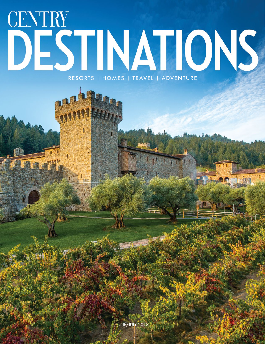## **GENTRY** DESTINATIONS RESORTS | HOMES | TRAVEL | ADVENTURE

JUNE/JULY 2018